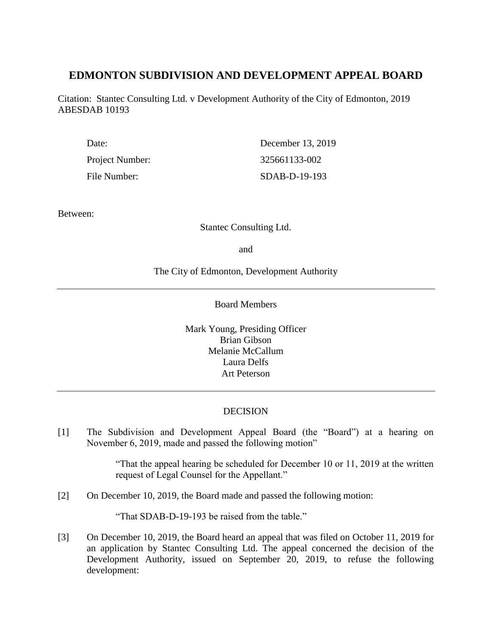# **EDMONTON SUBDIVISION AND DEVELOPMENT APPEAL BOARD**

Citation: Stantec Consulting Ltd. v Development Authority of the City of Edmonton, 2019 ABESDAB 10193

| Date:           | December 13, 2019 |
|-----------------|-------------------|
| Project Number: | 325661133-002     |
| File Number:    | SDAB-D-19-193     |

Between:

Stantec Consulting Ltd.

and

The City of Edmonton, Development Authority

Board Members

Mark Young, Presiding Officer Brian Gibson Melanie McCallum Laura Delfs Art Peterson

# DECISION

[1] The Subdivision and Development Appeal Board (the "Board") at a hearing on November 6, 2019, made and passed the following motion"

> "That the appeal hearing be scheduled for December 10 or 11, 2019 at the written request of Legal Counsel for the Appellant."

[2] On December 10, 2019, the Board made and passed the following motion:

"That SDAB-D-19-193 be raised from the table."

[3] On December 10, 2019, the Board heard an appeal that was filed on October 11, 2019 for an application by Stantec Consulting Ltd. The appeal concerned the decision of the Development Authority, issued on September 20, 2019, to refuse the following development: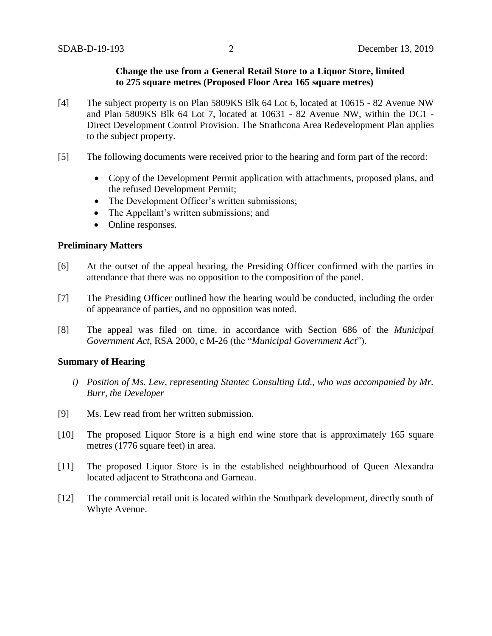## **Change the use from a General Retail Store to a Liquor Store, limited to 275 square metres (Proposed Floor Area 165 square metres)**

- [4] The subject property is on Plan 5809KS Blk 64 Lot 6, located at 10615 82 Avenue NW and Plan 5809KS Blk 64 Lot 7, located at 10631 - 82 Avenue NW, within the DC1 - Direct Development Control Provision. The Strathcona Area Redevelopment Plan applies to the subject property.
- [5] The following documents were received prior to the hearing and form part of the record:
	- Copy of the Development Permit application with attachments, proposed plans, and the refused Development Permit;
	- The Development Officer's written submissions;
	- The Appellant's written submissions; and
	- Online responses.

#### **Preliminary Matters**

- [6] At the outset of the appeal hearing, the Presiding Officer confirmed with the parties in attendance that there was no opposition to the composition of the panel.
- [7] The Presiding Officer outlined how the hearing would be conducted, including the order of appearance of parties, and no opposition was noted.
- [8] The appeal was filed on time, in accordance with Section 686 of the *Municipal Government Act*, RSA 2000, c M-26 (the "*Municipal Government Act*").

#### **Summary of Hearing**

- *i) Position of Ms. Lew, representing Stantec Consulting Ltd., who was accompanied by Mr. Burr, the Developer*
- [9] Ms. Lew read from her written submission.
- [10] The proposed Liquor Store is a high end wine store that is approximately 165 square metres (1776 square feet) in area.
- [11] The proposed Liquor Store is in the established neighbourhood of Queen Alexandra located adjacent to Strathcona and Garneau.
- [12] The commercial retail unit is located within the Southpark development, directly south of Whyte Avenue.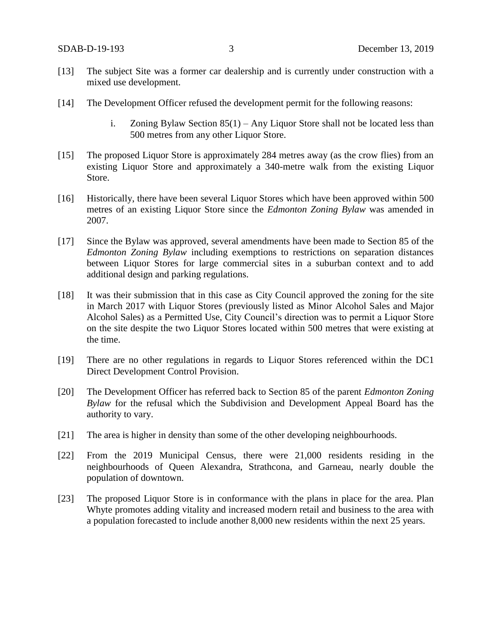- [13] The subject Site was a former car dealership and is currently under construction with a mixed use development.
- [14] The Development Officer refused the development permit for the following reasons:
	- i. Zoning Bylaw Section 85(1) Any Liquor Store shall not be located less than 500 metres from any other Liquor Store.
- [15] The proposed Liquor Store is approximately 284 metres away (as the crow flies) from an existing Liquor Store and approximately a 340-metre walk from the existing Liquor Store.
- [16] Historically, there have been several Liquor Stores which have been approved within 500 metres of an existing Liquor Store since the *Edmonton Zoning Bylaw* was amended in 2007.
- [17] Since the Bylaw was approved, several amendments have been made to Section 85 of the *Edmonton Zoning Bylaw* including exemptions to restrictions on separation distances between Liquor Stores for large commercial sites in a suburban context and to add additional design and parking regulations.
- [18] It was their submission that in this case as City Council approved the zoning for the site in March 2017 with Liquor Stores (previously listed as Minor Alcohol Sales and Major Alcohol Sales) as a Permitted Use, City Council's direction was to permit a Liquor Store on the site despite the two Liquor Stores located within 500 metres that were existing at the time.
- [19] There are no other regulations in regards to Liquor Stores referenced within the DC1 Direct Development Control Provision.
- [20] The Development Officer has referred back to Section 85 of the parent *Edmonton Zoning Bylaw* for the refusal which the Subdivision and Development Appeal Board has the authority to vary.
- [21] The area is higher in density than some of the other developing neighbourhoods.
- [22] From the 2019 Municipal Census, there were 21,000 residents residing in the neighbourhoods of Queen Alexandra, Strathcona, and Garneau, nearly double the population of downtown.
- [23] The proposed Liquor Store is in conformance with the plans in place for the area. Plan Whyte promotes adding vitality and increased modern retail and business to the area with a population forecasted to include another 8,000 new residents within the next 25 years.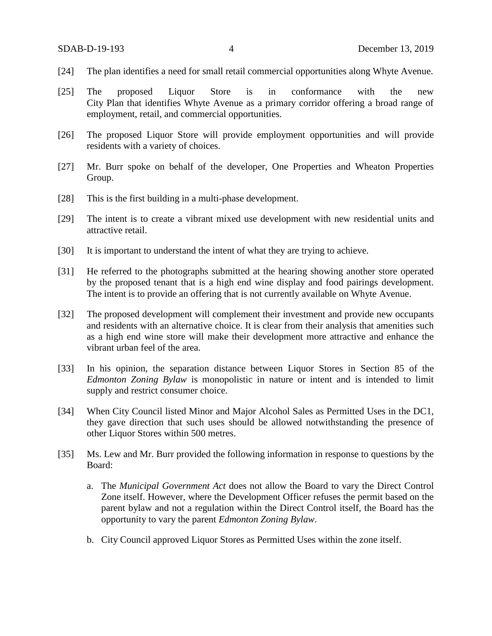- [24] The plan identifies a need for small retail commercial opportunities along Whyte Avenue.
- [25] The proposed Liquor Store is in conformance with the new City Plan that identifies Whyte Avenue as a primary corridor offering a broad range of employment, retail, and commercial opportunities.
- [26] The proposed Liquor Store will provide employment opportunities and will provide residents with a variety of choices.
- [27] Mr. Burr spoke on behalf of the developer, One Properties and Wheaton Properties Group.
- [28] This is the first building in a multi-phase development.
- [29] The intent is to create a vibrant mixed use development with new residential units and attractive retail.
- [30] It is important to understand the intent of what they are trying to achieve.
- [31] He referred to the photographs submitted at the hearing showing another store operated by the proposed tenant that is a high end wine display and food pairings development. The intent is to provide an offering that is not currently available on Whyte Avenue.
- [32] The proposed development will complement their investment and provide new occupants and residents with an alternative choice. It is clear from their analysis that amenities such as a high end wine store will make their development more attractive and enhance the vibrant urban feel of the area.
- [33] In his opinion, the separation distance between Liquor Stores in Section 85 of the *Edmonton Zoning Bylaw* is monopolistic in nature or intent and is intended to limit supply and restrict consumer choice.
- [34] When City Council listed Minor and Major Alcohol Sales as Permitted Uses in the DC1, they gave direction that such uses should be allowed notwithstanding the presence of other Liquor Stores within 500 metres.
- [35] Ms. Lew and Mr. Burr provided the following information in response to questions by the Board:
	- a. The *Municipal Government Act* does not allow the Board to vary the Direct Control Zone itself. However, where the Development Officer refuses the permit based on the parent bylaw and not a regulation within the Direct Control itself, the Board has the opportunity to vary the parent *Edmonton Zoning Bylaw*.
	- b. City Council approved Liquor Stores as Permitted Uses within the zone itself.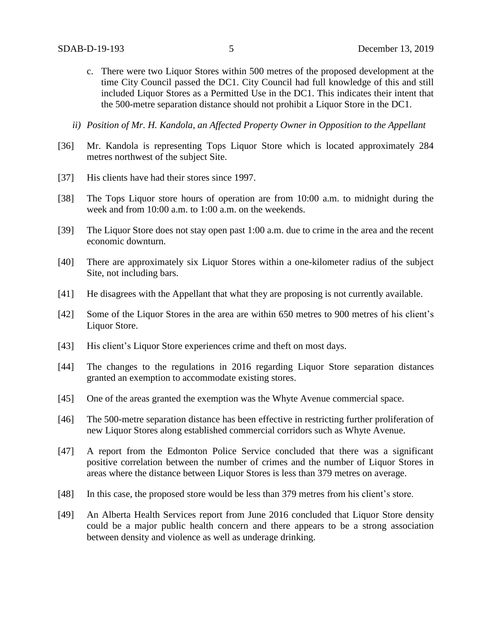- c. There were two Liquor Stores within 500 metres of the proposed development at the time City Council passed the DC1. City Council had full knowledge of this and still included Liquor Stores as a Permitted Use in the DC1. This indicates their intent that the 500-metre separation distance should not prohibit a Liquor Store in the DC1.
- *ii) Position of Mr. H. Kandola, an Affected Property Owner in Opposition to the Appellant*
- [36] Mr. Kandola is representing Tops Liquor Store which is located approximately 284 metres northwest of the subject Site.
- [37] His clients have had their stores since 1997.
- [38] The Tops Liquor store hours of operation are from 10:00 a.m. to midnight during the week and from 10:00 a.m. to 1:00 a.m. on the weekends.
- [39] The Liquor Store does not stay open past 1:00 a.m. due to crime in the area and the recent economic downturn.
- [40] There are approximately six Liquor Stores within a one-kilometer radius of the subject Site, not including bars.
- [41] He disagrees with the Appellant that what they are proposing is not currently available.
- [42] Some of the Liquor Stores in the area are within 650 metres to 900 metres of his client's Liquor Store.
- [43] His client's Liquor Store experiences crime and theft on most days.
- [44] The changes to the regulations in 2016 regarding Liquor Store separation distances granted an exemption to accommodate existing stores.
- [45] One of the areas granted the exemption was the Whyte Avenue commercial space.
- [46] The 500-metre separation distance has been effective in restricting further proliferation of new Liquor Stores along established commercial corridors such as Whyte Avenue.
- [47] A report from the Edmonton Police Service concluded that there was a significant positive correlation between the number of crimes and the number of Liquor Stores in areas where the distance between Liquor Stores is less than 379 metres on average.
- [48] In this case, the proposed store would be less than 379 metres from his client's store.
- [49] An Alberta Health Services report from June 2016 concluded that Liquor Store density could be a major public health concern and there appears to be a strong association between density and violence as well as underage drinking.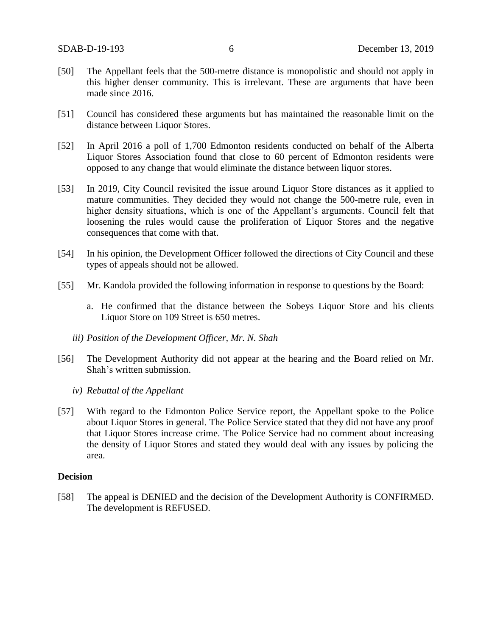- [50] The Appellant feels that the 500-metre distance is monopolistic and should not apply in this higher denser community. This is irrelevant. These are arguments that have been made since 2016.
- [51] Council has considered these arguments but has maintained the reasonable limit on the distance between Liquor Stores.
- [52] In April 2016 a poll of 1,700 Edmonton residents conducted on behalf of the Alberta Liquor Stores Association found that close to 60 percent of Edmonton residents were opposed to any change that would eliminate the distance between liquor stores.
- [53] In 2019, City Council revisited the issue around Liquor Store distances as it applied to mature communities. They decided they would not change the 500-metre rule, even in higher density situations, which is one of the Appellant's arguments. Council felt that loosening the rules would cause the proliferation of Liquor Stores and the negative consequences that come with that.
- [54] In his opinion, the Development Officer followed the directions of City Council and these types of appeals should not be allowed.
- [55] Mr. Kandola provided the following information in response to questions by the Board:
	- a. He confirmed that the distance between the Sobeys Liquor Store and his clients Liquor Store on 109 Street is 650 metres.
	- *iii) Position of the Development Officer, Mr. N. Shah*
- [56] The Development Authority did not appear at the hearing and the Board relied on Mr. Shah's written submission.
	- *iv) Rebuttal of the Appellant*
- [57] With regard to the Edmonton Police Service report, the Appellant spoke to the Police about Liquor Stores in general. The Police Service stated that they did not have any proof that Liquor Stores increase crime. The Police Service had no comment about increasing the density of Liquor Stores and stated they would deal with any issues by policing the area.

#### **Decision**

[58] The appeal is DENIED and the decision of the Development Authority is CONFIRMED. The development is REFUSED.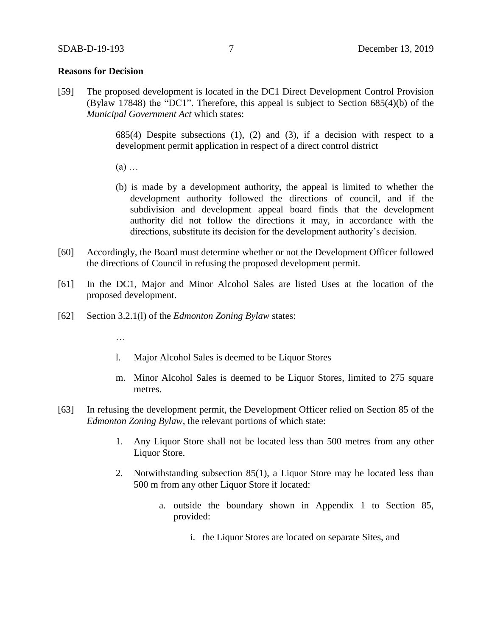#### **Reasons for Decision**

[59] The proposed development is located in the DC1 Direct Development Control Provision (Bylaw 17848) the "DC1". Therefore, this appeal is subject to Section 685(4)(b) of the *Municipal Government Act* which states:

> 685(4) Despite subsections  $(1)$ ,  $(2)$  and  $(3)$ , if a decision with respect to a development permit application in respect of a direct control district

(a) …

- (b) is made by a development authority, the appeal is limited to whether the development authority followed the directions of council, and if the subdivision and development appeal board finds that the development authority did not follow the directions it may, in accordance with the directions, substitute its decision for the development authority's decision.
- [60] Accordingly, the Board must determine whether or not the Development Officer followed the directions of Council in refusing the proposed development permit.
- [61] In the DC1, Major and Minor Alcohol Sales are listed Uses at the location of the proposed development.
- [62] Section 3.2.1(l) of the *Edmonton Zoning Bylaw* states:
	- …
	- l. Major Alcohol Sales is deemed to be Liquor Stores
	- m. Minor Alcohol Sales is deemed to be Liquor Stores, limited to 275 square metres.
- [63] In refusing the development permit, the Development Officer relied on Section 85 of the *Edmonton Zoning Bylaw,* the relevant portions of which state:
	- 1. Any Liquor Store shall not be located less than 500 metres from any other Liquor Store.
	- 2. Notwithstanding subsection 85(1), a Liquor Store may be located less than 500 m from any other Liquor Store if located:
		- a. outside the boundary shown in Appendix 1 to Section 85, provided:
			- i. the Liquor Stores are located on separate Sites, and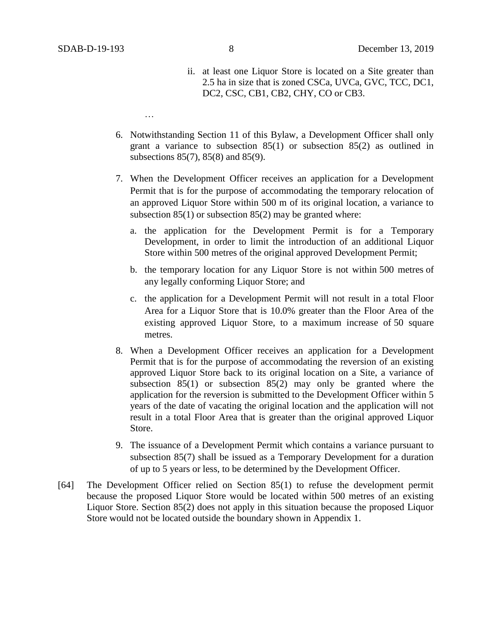…

- ii. at least one Liquor Store is located on a Site greater than 2.5 ha in size that is zoned CSCa, UVCa, GVC, TCC, DC1, DC2, CSC, CB1, CB2, CHY, CO or CB3.
- 6. Notwithstanding Section 11 of this Bylaw, a Development Officer shall only grant a variance to subsection 85(1) or subsection 85(2) as outlined in subsections 85(7), 85(8) and 85(9).
- 7. When the Development Officer receives an application for a Development Permit that is for the purpose of accommodating the temporary relocation of an approved Liquor Store within 500 m of its original location, a variance to subsection 85(1) or subsection 85(2) may be granted where:
	- a. the application for the Development Permit is for a Temporary Development, in order to limit the introduction of an additional Liquor Store within [500 me](https://webdocs.edmonton.ca/InfraPlan/zoningbylaw/ZoningBylaw/Measurements/im500.htm)tres of the original approved Development Permit;
	- b. the temporary location for any Liquor Store is not within [500 me](https://webdocs.edmonton.ca/InfraPlan/zoningbylaw/ZoningBylaw/Measurements/im500.htm)tres of any legally conforming Liquor Store; and
	- c. the application for a Development Permit will not result in a total Floor Area for a Liquor Store that is 10.0% greater than the Floor Area of the existing approved Liquor Store, to a maximum increase of 50 square metres.
- 8. When a Development Officer receives an application for a Development Permit that is for the purpose of accommodating the reversion of an existing approved Liquor Store back to its original location on a Site, a variance of subsection 85(1) or subsection 85(2) may only be granted where the application for the reversion is submitted to the Development Officer within 5 years of the date of vacating the original location and the application will not result in a total Floor Area that is greater than the original approved Liquor Store.
- 9. The issuance of a Development Permit which contains a variance pursuant to subsection 85(7) shall be issued as a Temporary Development for a duration of up to 5 years or less, to be determined by the Development Officer.
- [64] The Development Officer relied on Section 85(1) to refuse the development permit because the proposed Liquor Store would be located within 500 metres of an existing Liquor Store. Section 85(2) does not apply in this situation because the proposed Liquor Store would not be located outside the boundary shown in Appendix 1.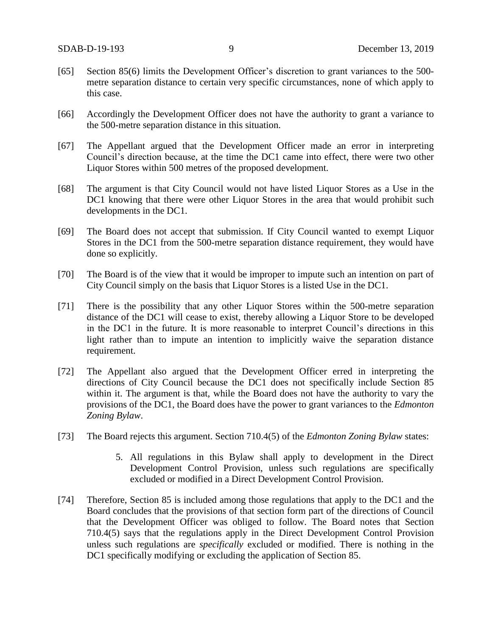- [65] Section 85(6) limits the Development Officer's discretion to grant variances to the 500metre separation distance to certain very specific circumstances, none of which apply to this case.
- [66] Accordingly the Development Officer does not have the authority to grant a variance to the 500-metre separation distance in this situation.
- [67] The Appellant argued that the Development Officer made an error in interpreting Council's direction because, at the time the DC1 came into effect, there were two other Liquor Stores within 500 metres of the proposed development.
- [68] The argument is that City Council would not have listed Liquor Stores as a Use in the DC1 knowing that there were other Liquor Stores in the area that would prohibit such developments in the DC1.
- [69] The Board does not accept that submission. If City Council wanted to exempt Liquor Stores in the DC1 from the 500-metre separation distance requirement, they would have done so explicitly.
- [70] The Board is of the view that it would be improper to impute such an intention on part of City Council simply on the basis that Liquor Stores is a listed Use in the DC1.
- [71] There is the possibility that any other Liquor Stores within the 500-metre separation distance of the DC1 will cease to exist, thereby allowing a Liquor Store to be developed in the DC1 in the future. It is more reasonable to interpret Council's directions in this light rather than to impute an intention to implicitly waive the separation distance requirement.
- [72] The Appellant also argued that the Development Officer erred in interpreting the directions of City Council because the DC1 does not specifically include Section 85 within it. The argument is that, while the Board does not have the authority to vary the provisions of the DC1, the Board does have the power to grant variances to the *Edmonton Zoning Bylaw*.
- [73] The Board rejects this argument. Section 710.4(5) of the *Edmonton Zoning Bylaw* states:
	- 5. All regulations in this Bylaw shall apply to development in the Direct Development Control Provision, unless such regulations are specifically excluded or modified in a Direct Development Control Provision.
- [74] Therefore, Section 85 is included among those regulations that apply to the DC1 and the Board concludes that the provisions of that section form part of the directions of Council that the Development Officer was obliged to follow. The Board notes that Section 710.4(5) says that the regulations apply in the Direct Development Control Provision unless such regulations are *specifically* excluded or modified. There is nothing in the DC1 specifically modifying or excluding the application of Section 85.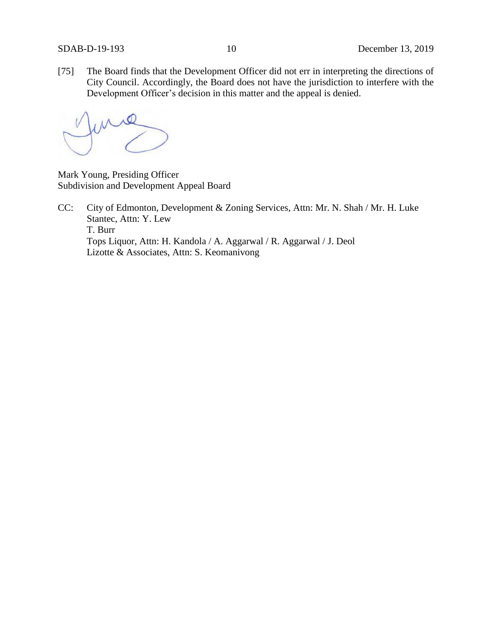[75] The Board finds that the Development Officer did not err in interpreting the directions of City Council. Accordingly, the Board does not have the jurisdiction to interfere with the Development Officer's decision in this matter and the appeal is denied.

Mark Young, Presiding Officer Subdivision and Development Appeal Board

CC: City of Edmonton, Development & Zoning Services, Attn: Mr. N. Shah / Mr. H. Luke Stantec, Attn: Y. Lew T. Burr Tops Liquor, Attn: H. Kandola / A. Aggarwal / R. Aggarwal / J. Deol Lizotte & Associates, Attn: S. Keomanivong